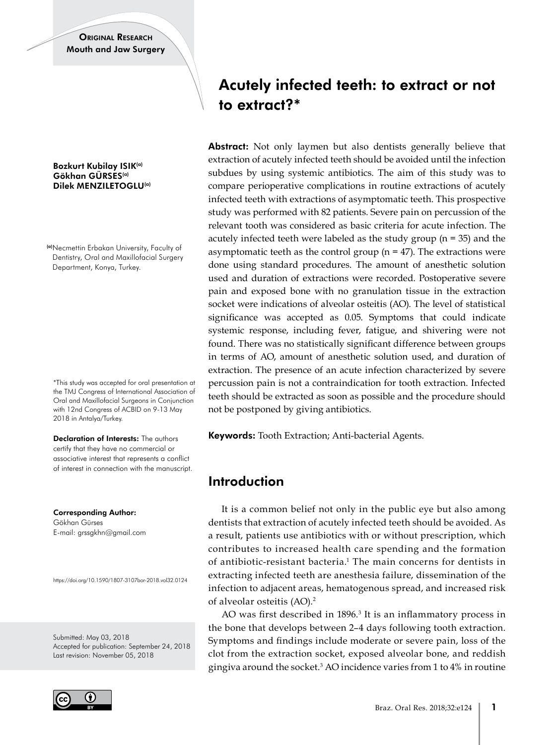Bozkurt Kubilay ISIK(a) Gökhan GÜRSES(a) Dilek MENZILETOGLU(a)

(a)Necmettin Erbakan University, Faculty of Dentistry, Oral and Maxillofacial Surgery Department, Konya, Turkey.

\*This study was accepted for oral presentation at the TMJ Congress of International Association of Oral and Maxillofacial Surgeons in Conjunction with 12nd Congress of ACBID on 9-13 May 2018 in Antalya/Turkey.

Declaration of Interests: The authors certify that they have no commercial or associative interest that represents a conflict of interest in connection with the manuscript.

Corresponding Author: Gökhan Gürses E-mail: grssgkhn@gmail.com

https://doi.org/10.1590/1807-3107bor-2018.vol32.0124

Submitted: May 03, 2018 Accepted for publication: September 24, 2018 Last revision: November 05, 2018



# Acutely infected teeth: to extract or not to extract?\*

Abstract: Not only laymen but also dentists generally believe that extraction of acutely infected teeth should be avoided until the infection subdues by using systemic antibiotics. The aim of this study was to compare perioperative complications in routine extractions of acutely infected teeth with extractions of asymptomatic teeth. This prospective study was performed with 82 patients. Severe pain on percussion of the relevant tooth was considered as basic criteria for acute infection. The acutely infected teeth were labeled as the study group  $(n = 35)$  and the asymptomatic teeth as the control group  $(n = 47)$ . The extractions were done using standard procedures. The amount of anesthetic solution used and duration of extractions were recorded. Postoperative severe pain and exposed bone with no granulation tissue in the extraction socket were indications of alveolar osteitis (AO). The level of statistical significance was accepted as 0.05. Symptoms that could indicate systemic response, including fever, fatigue, and shivering were not found. There was no statistically significant difference between groups in terms of AO, amount of anesthetic solution used, and duration of extraction. The presence of an acute infection characterized by severe percussion pain is not a contraindication for tooth extraction. Infected teeth should be extracted as soon as possible and the procedure should not be postponed by giving antibiotics.

**Keywords:** Tooth Extraction; Anti-bacterial Agents.

## Introduction

It is a common belief not only in the public eye but also among dentists that extraction of acutely infected teeth should be avoided. As a result, patients use antibiotics with or without prescription, which contributes to increased health care spending and the formation of antibiotic-resistant bacteria.<sup>1</sup> The main concerns for dentists in extracting infected teeth are anesthesia failure, dissemination of the infection to adjacent areas, hematogenous spread, and increased risk of alveolar osteitis (AO).2

AO was first described in 1896.<sup>3</sup> It is an inflammatory process in the bone that develops between 2–4 days following tooth extraction. Symptoms and findings include moderate or severe pain, loss of the clot from the extraction socket, exposed alveolar bone, and reddish gingiva around the socket.3 AO incidence varies from 1 to 4% in routine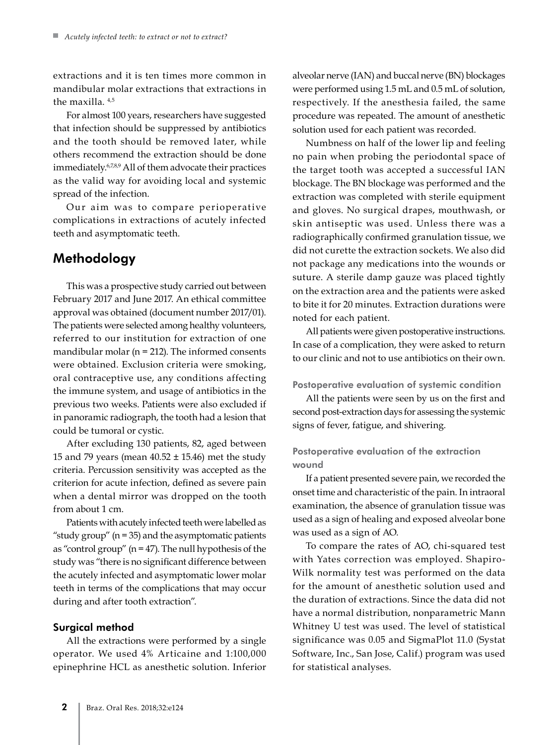extractions and it is ten times more common in mandibular molar extractions that extractions in the maxilla. [4,](https://paperpile.com/c/Ffy3nc/XamtW)[5](https://paperpile.com/c/Ffy3nc/YOnje)

For almost 100 years, researchers have suggested that infection should be suppressed by antibiotics and the tooth should be removed later, while others recommend the extraction should be done immediately.<sup>6,[7](https://paperpile.com/c/Ffy3nc/ZpIVN),[8,](https://paperpile.com/c/Ffy3nc/VMnn9)9</sup> All of them advocate their practices as the valid way for avoiding local and systemic spread of the infection.

Our aim was to compare perioperative complications in extractions of acutely infected teeth and asymptomatic teeth.

### Methodology

This was a prospective study carried out between February 2017 and June 2017. An ethical committee approval was obtained (document number 2017/01). The patients were selected among healthy volunteers, referred to our institution for extraction of one mandibular molar ( $n = 212$ ). The informed consents were obtained. Exclusion criteria were smoking, oral contraceptive use, any conditions affecting the immune system, and usage of antibiotics in the previous two weeks. Patients were also excluded if in panoramic radiograph, the tooth had a lesion that could be tumoral or cystic.

After excluding 130 patients, 82, aged between 15 and 79 years (mean 40.52 ± 15.46) met the study criteria. Percussion sensitivity was accepted as the criterion for acute infection, defined as severe pain when a dental mirror was dropped on the tooth from about 1 cm.

Patients with acutely infected teeth were labelled as "study group"  $(n = 35)$  and the asymptomatic patients as "control group" ( $n = 47$ ). The null hypothesis of the study was "there is no significant difference between the acutely infected and asymptomatic lower molar teeth in terms of the complications that may occur during and after tooth extraction".

#### Surgical method

All the extractions were performed by a single operator. We used 4% Articaine and 1:100,000 epinephrine HCL as anesthetic solution. Inferior alveolar nerve (IAN) and buccal nerve (BN) blockages were performed using 1.5 mL and 0.5 mL of solution, respectively. If the anesthesia failed, the same procedure was repeated. The amount of anesthetic solution used for each patient was recorded.

Numbness on half of the lower lip and feeling no pain when probing the periodontal space of the target tooth was accepted a successful IAN blockage. The BN blockage was performed and the extraction was completed with sterile equipment and gloves. No surgical drapes, mouthwash, or skin antiseptic was used. Unless there was a radiographically confirmed granulation tissue, we did not curette the extraction sockets. We also did not package any medications into the wounds or suture. A sterile damp gauze was placed tightly on the extraction area and the patients were asked to bite it for 20 minutes. Extraction durations were noted for each patient.

All patients were given postoperative instructions. In case of a complication, they were asked to return to our clinic and not to use antibiotics on their own.

#### Postoperative evaluation of systemic condition

All the patients were seen by us on the first and second post-extraction days for assessing the systemic signs of fever, fatigue, and shivering.

#### Postoperative evaluation of the extraction wound

If a patient presented severe pain, we recorded the onset time and characteristic of the pain. In intraoral examination, the absence of granulation tissue was used as a sign of healing and exposed alveolar bone was used as a sign of AO.

To compare the rates of AO, chi-squared test with Yates correction was employed. Shapiro-Wilk normality test was performed on the data for the amount of anesthetic solution used and the duration of extractions. Since the data did not have a normal distribution, nonparametric Mann Whitney U test was used. The level of statistical significance was 0.05 and SigmaPlot 11.0 (Systat Software, Inc., San Jose, Calif.) program was used for statistical analyses.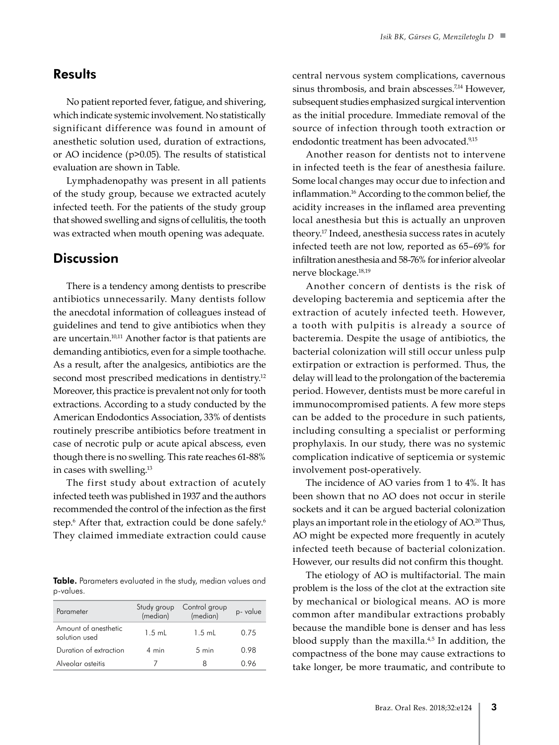### **Results**

No patient reported fever, fatigue, and shivering, which indicate systemic involvement. No statistically significant difference was found in amount of anesthetic solution used, duration of extractions, or AO incidence (p>0.05). The results of statistical evaluation are shown in Table.

Lymphadenopathy was present in all patients of the study group, because we extracted acutely infected teeth. For the patients of the study group that showed swelling and signs of cellulitis, the tooth was extracted when mouth opening was adequate.

### **Discussion**

There is a tendency among dentists to prescribe antibiotics unnecessarily. Many dentists follow the anecdotal information of colleagues instead of guidelines and tend to give antibiotics when they are uncertain.<sup>[10,11](https://paperpile.com/c/Ffy3nc/j7IqB+TIz9t)</sup> Another factor is that patients are demanding antibiotics, even for a simple toothache. As a result, after the analgesics, antibiotics are the second most prescribed medications in dentistry.<sup>12</sup> Moreover, this practice is prevalent not only for tooth extractions. According to a study conducted by the American Endodontics Association, 33% of dentists routinely prescribe antibiotics before treatment in case of necrotic pulp or acute apical abscess, even though there is no swelling. This rate reaches 61-88% in cases with swelling.<sup>13</sup>

The first study about extraction of acutely infected teeth was published in 1937 and the authors recommended the control of the infection as the first step.<sup>[6](https://paperpile.com/c/Ffy3nc/8Y77h)</sup> After that, extraction could be done safely.<sup>6</sup> They claimed immediate extraction could cause

Table. Parameters evaluated in the study, median values and p-values.

| Parameter                             | Study group<br>(median) | Control group<br>(median) | p-value |
|---------------------------------------|-------------------------|---------------------------|---------|
| Amount of anesthetic<br>solution used | $1.5$ mL                | $1.5$ ml                  | 0.75    |
| Duration of extraction                | 4 min                   | $5 \text{ min}$           | 0.98    |
| Alveolar osteitis                     |                         | 8                         | 0 96    |

central nervous system complications, cavernous sinus thrombosis, and brain abscesses.<sup>7,[14](https://paperpile.com/c/Ffy3nc/UrCjy)</sup> However, subsequent studies emphasized surgical intervention as the initial procedure. Immediate removal of the source of infection through tooth extraction or endodontic treatment has been advocated.[9](https://paperpile.com/c/Ffy3nc/QGKLt)[,15](https://paperpile.com/c/Ffy3nc/oFa3P)

Another reason for dentists not to intervene in infected teeth is the fear of anesthesia failure. Some local changes may occur due to infection and inflammation[.16](https://paperpile.com/c/Ffy3nc/zeWgh) According to the common belief, the acidity increases in the inflamed area preventing local anesthesia but this is actually an unproven theory[.17](https://paperpile.com/c/Ffy3nc/fXa70) Indeed, anesthesia success rates in acutely infected teeth are not low, reported as 65–69% for infiltration anesthesia and 58-76% for inferior alveolar nerve blockage.[18,19](https://paperpile.com/c/Ffy3nc/J0V1r+CsBX3)

Another concern of dentists is the risk of developing bacteremia and septicemia after the extraction of acutely infected teeth. However, a tooth with pulpitis is already a source of bacteremia. Despite the usage of antibiotics, the bacterial colonization will still occur unless pulp extirpation or extraction is performed. Thus, the delay will lead to the prolongation of the bacteremia period. However, dentists must be more careful in immunocompromised patients. A few more steps can be added to the procedure in such patients, including consulting a specialist or performing prophylaxis. In our study, there was no systemic complication indicative of septicemia or systemic involvement post-operatively.

The incidence of AO varies from 1 to 4%. It has been shown that no AO does not occur in sterile sockets and it can be argued bacterial colonization plays an important role in the etiology of AO.[20](https://paperpile.com/c/Ffy3nc/vtpng) Thus, AO might be expected more frequently in acutely infected teeth because of bacterial colonization. However, our results did not confirm this thought.

The etiology of AO is multifactorial. The main problem is the loss of the clot at the extraction site by mechanical or biological means. AO is more common after mandibular extractions probably because the mandible bone is denser and has less blood supply than the maxilla.[4,](https://paperpile.com/c/Ffy3nc/XamtW)[5](https://paperpile.com/c/Ffy3nc/YOnje) In addition, the compactness of the bone may cause extractions to take longer, be more traumatic, and contribute to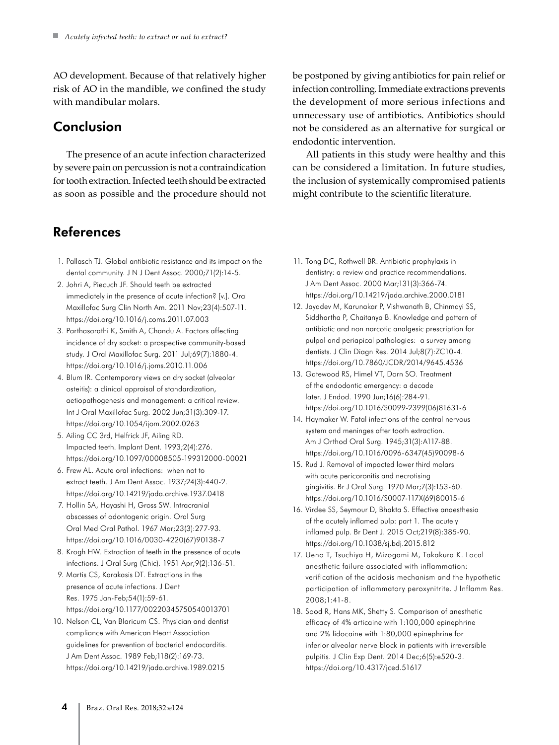AO development. Because of that relatively higher risk of AO in the mandible, we confined the study with mandibular molars.

### Conclusion

The presence of an acute infection characterized by severe pain on percussion is not a contraindication for tooth extraction. Infected teeth should be extracted as soon as possible and the procedure should not

### References

- 1. Pallasch TJ. Global antibiotic resistance and its impact on the dental community. J N J Dent Assoc. 2000;71(2):14-5.
- 2. Johri A, Piecuch JF. Should teeth be extracted immediately in the presence of acute infection? [v.]. Oral Maxillofac Surg Clin North Am. 2011 Nov;23(4):507-11. https://doi.org/10.1016/j.coms.2011.07.003
- 3. Parthasarathi K, Smith A, Chandu A. Factors affecting incidence of dry socket: a prospective community-based study. J Oral Maxillofac Surg. 2011 Jul;69(7):1880-4. https://doi.org/10.1016/j.joms.2010.11.006
- 4. Blum IR. Contemporary views on dry socket (alveolar osteitis): a clinical appraisal of standardization, aetiopathogenesis and management: a critical review. Int J Oral Maxillofac Surg. 2002 Jun;31(3):309-17. https://doi.org/10.1054/ijom.2002.0263
- 5. Ailing CC 3rd, Helfrick JF, Ailing RD. Impacted teeth. Implant Dent. 1993;2(4):276. https://doi.org/10.1097/00008505-199312000-00021
- 6. Frew AL. Acute oral infections: when not to extract teeth. J Am Dent Assoc. 1937;24(3):440-2. https://doi.org/10.14219/jada.archive.1937.0418
- 7. Hollin SA, Hayashi H, Gross SW. Intracranial abscesses of odontogenic origin. Oral Surg Oral Med Oral Pathol. 1967 Mar;23(3):277-93. https://doi.org/10.1016/0030-4220(67)90138-7
- 8. Krogh HW. Extraction of teeth in the presence of acute infections. J Oral Surg (Chic). 1951 Apr;9(2):136-51.
- 9. Martis CS, Karakasis DT. Extractions in the presence of acute infections. J Dent Res. 1975 Jan-Feb;54(1):59-61. https://doi.org/10.1177/00220345750540013701
- 10. Nelson CL, Van Blaricum CS. Physician and dentist compliance with American Heart Association guidelines for prevention of bacterial endocarditis. J Am Dent Assoc. 1989 Feb;118(2):169-73. https://doi.org/10.14219/jada.archive.1989.0215

be postponed by giving antibiotics for pain relief or infection controlling. Immediate extractions prevents the development of more serious infections and unnecessary use of antibiotics. Antibiotics should not be considered as an alternative for surgical or endodontic intervention.

All patients in this study were healthy and this can be considered a limitation. In future studies, the inclusion of systemically compromised patients might contribute to the scientific literature.

- 11. Tong DC, Rothwell BR. Antibiotic prophylaxis in dentistry: a review and practice recommendations. J Am Dent Assoc. 2000 Mar;131(3):366-74. https://doi.org/10.14219/jada.archive.2000.0181
- 12. Jayadev M, Karunakar P, Vishwanath B, Chinmayi SS, Siddhartha P, Chaitanya B. Knowledge and pattern of antibiotic and non narcotic analgesic prescription for pulpal and periapical pathologies: a survey among dentists. J Clin Diagn Res. 2014 Jul;8(7):ZC10-4. https://doi.org/10.7860/JCDR/2014/9645.4536
- 13. Gatewood RS, Himel VT, Dorn SO. Treatment of the endodontic emergency: a decade later. J Endod. 1990 Jun;16(6):284-91. https://doi.org/10.1016/S0099-2399(06)81631-6
- 14. Haymaker W. Fatal infections of the central nervous system and meninges after tooth extraction. Am J Orthod Oral Surg. 1945;31(3):A117-88. https://doi.org/10.1016/0096-6347(45)90098-6
- 15. Rud J. Removal of impacted lower third molars with acute pericoronitis and necrotising gingivitis. Br J Oral Surg. 1970 Mar;7(3):153-60. https://doi.org/10.1016/S0007-117X(69)80015-6
- 16. Virdee SS, Seymour D, Bhakta S. Effective anaesthesia of the acutely inflamed pulp: part 1. The acutely inflamed pulp. Br Dent J. 2015 Oct;219(8):385-90. https://doi.org/10.1038/sj.bdj.2015.812
- 17. Ueno T, Tsuchiya H, Mizogami M, Takakura K. Local anesthetic failure associated with inflammation: verification of the acidosis mechanism and the hypothetic participation of inflammatory peroxynitrite. J Inflamm Res. 2008;1:41-8.
- 18. Sood R, Hans MK, Shetty S. Comparison of anesthetic efficacy of 4% articaine with 1:100,000 epinephrine and 2% lidocaine with 1:80,000 epinephrine for inferior alveolar nerve block in patients with irreversible pulpitis. J Clin Exp Dent. 2014 Dec;6(5):e520-3. https://doi.org/10.4317/jced.51617